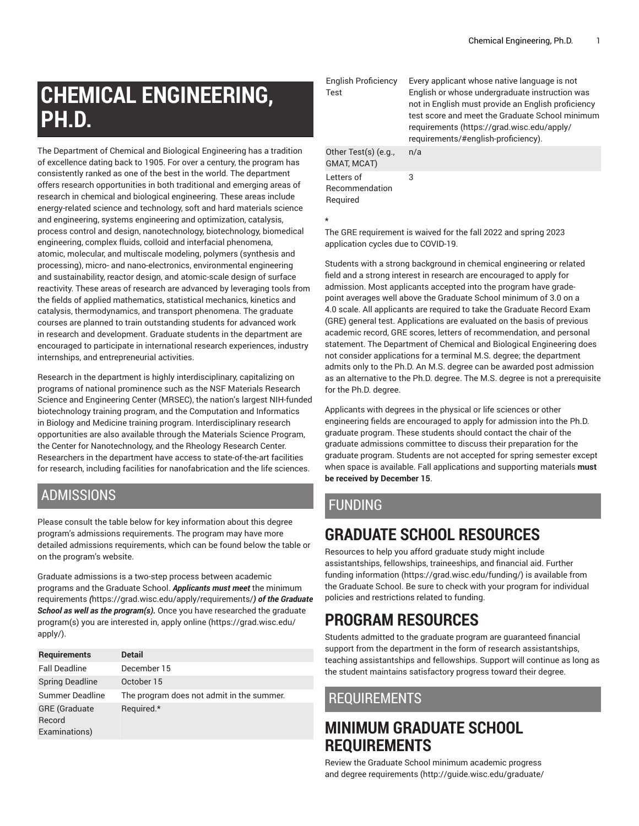# **CHEMICAL ENGINEERING, PH.D.**

The Department of Chemical and Biological Engineering has a tradition of excellence dating back to 1905. For over a century, the program has consistently ranked as one of the best in the world. The department offers research opportunities in both traditional and emerging areas of research in chemical and biological engineering. These areas include energy-related science and technology, soft and hard materials science and engineering, systems engineering and optimization, catalysis, process control and design, nanotechnology, biotechnology, biomedical engineering, complex fluids, colloid and interfacial phenomena, atomic, molecular, and multiscale modeling, polymers (synthesis and processing), micro- and nano-electronics, environmental engineering and sustainability, reactor design, and atomic-scale design of surface reactivity. These areas of research are advanced by leveraging tools from the fields of applied mathematics, statistical mechanics, kinetics and catalysis, thermodynamics, and transport phenomena. The graduate courses are planned to train outstanding students for advanced work in research and development. Graduate students in the department are encouraged to participate in international research experiences, industry internships, and entrepreneurial activities.

Research in the department is highly interdisciplinary, capitalizing on programs of national prominence such as the NSF Materials Research Science and Engineering Center (MRSEC), the nation's largest NIH-funded biotechnology training program, and the Computation and Informatics in Biology and Medicine training program. Interdisciplinary research opportunities are also available through the Materials Science Program, the Center for Nanotechnology, and the Rheology Research Center. Researchers in the department have access to state-of-the-art facilities for research, including facilities for nanofabrication and the life sciences.

## ADMISSIONS

Please consult the table below for key information about this degree program's admissions requirements. The program may have more detailed admissions requirements, which can be found below the table or on the program's website.

Graduate admissions is a two-step process between academic programs and the Graduate School. *Applicants must meet* [the minimum](https://grad.wisc.edu/apply/requirements/) [requirements](https://grad.wisc.edu/apply/requirements/) *(*<https://grad.wisc.edu/apply/requirements/>*) of the Graduate School as well as the program(s).* Once you have researched the graduate program(s) you are interested in, [apply online \(https://grad.wisc.edu/](https://grad.wisc.edu/apply/) [apply/\)](https://grad.wisc.edu/apply/).

| <b>Requirements</b>                             | <b>Detail</b>                             |
|-------------------------------------------------|-------------------------------------------|
| <b>Fall Deadline</b>                            | December 15                               |
| <b>Spring Deadline</b>                          | October 15                                |
| Summer Deadline                                 | The program does not admit in the summer. |
| <b>GRE</b> (Graduate<br>Record<br>Examinations) | Required.*                                |

English Proficiency Test Every applicant whose native language is not English or whose undergraduate instruction was not in English must provide an English proficiency test score and meet the Graduate School minimum requirements ([https://grad.wisc.edu/apply/](https://grad.wisc.edu/apply/requirements/#english-proficiency) [requirements/#english-proficiency](https://grad.wisc.edu/apply/requirements/#english-proficiency)). Other Test(s) (e.g., GMAT, MCAT) n/a Letters of Recommendation Required 3

**\***

The GRE requirement is waived for the fall 2022 and spring 2023 application cycles due to COVID-19.

Students with a strong background in chemical engineering or related field and a strong interest in research are encouraged to apply for admission. Most applicants accepted into the program have gradepoint averages well above the Graduate School minimum of 3.0 on a 4.0 scale. All applicants are required to take the Graduate Record Exam (GRE) general test. Applications are evaluated on the basis of previous academic record, GRE scores, letters of recommendation, and personal statement. The Department of Chemical and Biological Engineering does not consider applications for a terminal M.S. degree; the department admits only to the Ph.D. An M.S. degree can be awarded post admission as an alternative to the Ph.D. degree. The M.S. degree is not a prerequisite for the Ph.D. degree.

Applicants with degrees in the physical or life sciences or other engineering fields are encouraged to apply for admission into the Ph.D. graduate program. These students should contact the chair of the graduate admissions committee to discuss their preparation for the graduate program. Students are not accepted for spring semester except when space is available. Fall applications and supporting materials **must be received by December 15**.

# FUNDING

# **GRADUATE SCHOOL RESOURCES**

Resources to help you afford graduate study might include assistantships, fellowships, traineeships, and financial aid. [Further](https://grad.wisc.edu/funding/) [funding information \(https://grad.wisc.edu/funding/](https://grad.wisc.edu/funding/)) is available from the Graduate School. Be sure to check with your program for individual policies and restrictions related to funding.

# **PROGRAM RESOURCES**

Students admitted to the graduate program are guaranteed financial support from the department in the form of research assistantships, teaching assistantships and fellowships. Support will continue as long as the student maintains satisfactory progress toward their degree.

## REQUIREMENTS

# **MINIMUM GRADUATE SCHOOL REQUIREMENTS**

Review the Graduate School minimum [academic](http://guide.wisc.edu/graduate/#policiesandrequirementstext) progress and degree [requirements \(http://guide.wisc.edu/graduate/](http://guide.wisc.edu/graduate/#policiesandrequirementstext)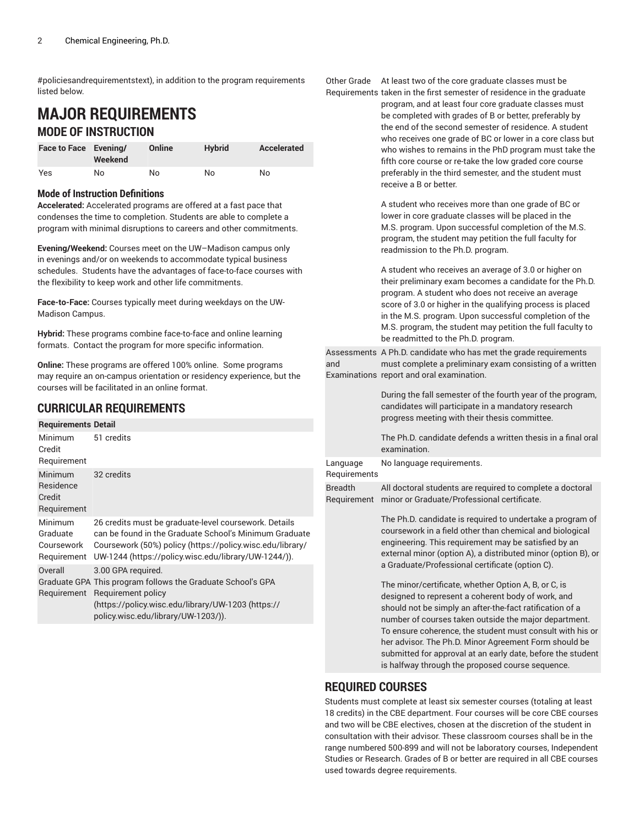[#policiesandrequirementstext\)](http://guide.wisc.edu/graduate/#policiesandrequirementstext), in addition to the program requirements listed below.

## **MAJOR REQUIREMENTS MODE OF INSTRUCTION**

| Face to Face Evening/ | Weekend | Online | <b>Hybrid</b> | Accelerated |
|-----------------------|---------|--------|---------------|-------------|
| Yes                   | No      | No     | No            | No          |

#### **Mode of Instruction Definitions**

**Accelerated:** Accelerated programs are offered at a fast pace that condenses the time to completion. Students are able to complete a program with minimal disruptions to careers and other commitments.

**Evening/Weekend:** Courses meet on the UW–Madison campus only in evenings and/or on weekends to accommodate typical business schedules. Students have the advantages of face-to-face courses with the flexibility to keep work and other life commitments.

**Face-to-Face:** Courses typically meet during weekdays on the UW-Madison Campus.

**Hybrid:** These programs combine face-to-face and online learning formats. Contact the program for more specific information.

**Online:** These programs are offered 100% online. Some programs may require an on-campus orientation or residency experience, but the courses will be facilitated in an online format.

## **CURRICULAR REQUIREMENTS**

#### **Requirements Detail** Minimum 51 credits

| Credit<br>Requirement                            |                                                                                                                                                                                                                                      |
|--------------------------------------------------|--------------------------------------------------------------------------------------------------------------------------------------------------------------------------------------------------------------------------------------|
| Minimum<br>Residence<br>Credit<br>Requirement    | 32 credits                                                                                                                                                                                                                           |
| Minimum<br>Graduate<br>Coursework<br>Requirement | 26 credits must be graduate-level coursework. Details<br>can be found in the Graduate School's Minimum Graduate<br>Coursework (50%) policy (https://policy.wisc.edu/library/<br>UW-1244 (https://policy.wisc.edu/library/UW-1244/)). |
| Overall                                          | 3.00 GPA required.<br>Graduate GPA This program follows the Graduate School's GPA<br>Requirement Requirement policy<br>(https://policy.wisc.edu/library/UW-1203 (https://<br>policy.wisc.edu/library/UW-1203/)).                     |

Other Grade At least two of the core graduate classes must be

Requirements taken in the first semester of residence in the graduate program, and at least four core graduate classes must be completed with grades of B or better, preferably by the end of the second semester of residence. A student who receives one grade of BC or lower in a core class but who wishes to remains in the PhD program must take the fifth core course or re-take the low graded core course preferably in the third semester, and the student must receive a B or better.

> A student who receives more than one grade of BC or lower in core graduate classes will be placed in the M.S. program. Upon successful completion of the M.S. program, the student may petition the full faculty for readmission to the Ph.D. program.

A student who receives an average of 3.0 or higher on their preliminary exam becomes a candidate for the Ph.D. program. A student who does not receive an average score of 3.0 or higher in the qualifying process is placed in the M.S. program. Upon successful completion of the M.S. program, the student may petition the full faculty to be readmitted to the Ph.D. program.

Assessments A Ph.D. candidate who has met the grade requirements and Examinations report and oral examination. must complete a preliminary exam consisting of a written

> During the fall semester of the fourth year of the program, candidates will participate in a mandatory research progress meeting with their thesis committee.

> The Ph.D. candidate defends a written thesis in a final oral examination.

Language No language requirements.

**Requirements** 

Breadth Requirement minor or Graduate/Professional certificate. All doctoral students are required to complete a doctoral

> The Ph.D. candidate is required to undertake a program of coursework in a field other than chemical and biological engineering. This requirement may be satisfied by an external minor (option A), a distributed minor (option B), or a Graduate/Professional certificate (option C).

> The minor/certificate, whether Option A, B, or C, is designed to represent a coherent body of work, and should not be simply an after-the-fact ratification of a number of courses taken outside the major department. To ensure coherence, the student must consult with his or her advisor. The Ph.D. Minor Agreement Form should be submitted for approval at an early date, before the student is halfway through the proposed course sequence.

#### **REQUIRED COURSES**

Students must complete at least six semester courses (totaling at least 18 credits) in the CBE department. Four courses will be core CBE courses and two will be CBE electives, chosen at the discretion of the student in consultation with their advisor. These classroom courses shall be in the range numbered 500-899 and will not be laboratory courses, Independent Studies or Research. Grades of B or better are required in all CBE courses used towards degree requirements.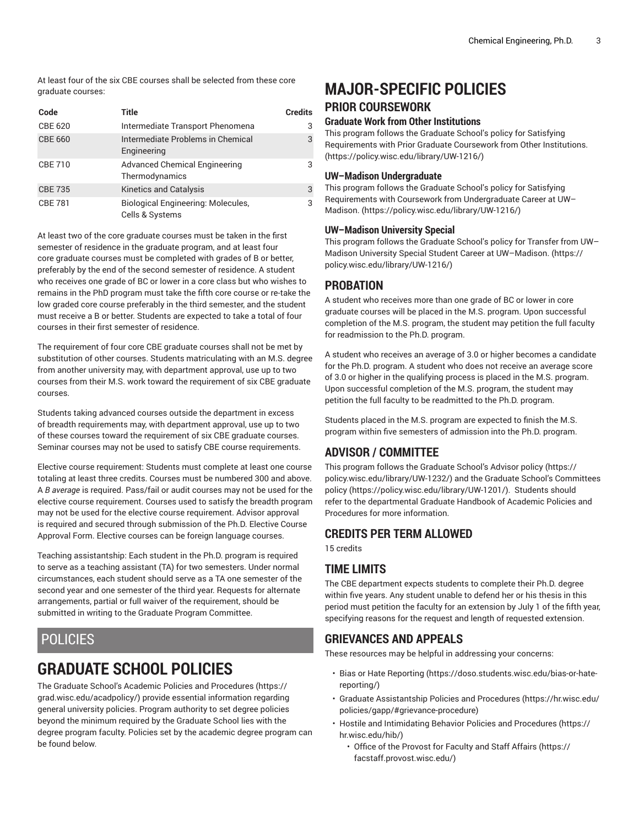At least four of the six CBE courses shall be selected from these core graduate courses:

| Code           | Title                                                        | <b>Credits</b> |
|----------------|--------------------------------------------------------------|----------------|
| <b>CBE 620</b> | Intermediate Transport Phenomena                             | 3              |
| <b>CBE 660</b> | Intermediate Problems in Chemical<br>Engineering             | 3              |
| <b>CBE 710</b> | <b>Advanced Chemical Engineering</b><br>Thermodynamics       | 3              |
| <b>CBE 735</b> | Kinetics and Catalysis                                       | 3              |
| <b>CBE 781</b> | <b>Biological Engineering: Molecules,</b><br>Cells & Systems | 3              |

At least two of the core graduate courses must be taken in the first semester of residence in the graduate program, and at least four core graduate courses must be completed with grades of B or better, preferably by the end of the second semester of residence. A student who receives one grade of BC or lower in a core class but who wishes to remains in the PhD program must take the fifth core course or re-take the low graded core course preferably in the third semester, and the student must receive a B or better. Students are expected to take a total of four courses in their first semester of residence.

The requirement of four core CBE graduate courses shall not be met by substitution of other courses. Students matriculating with an M.S. degree from another university may, with department approval, use up to two courses from their M.S. work toward the requirement of six CBE graduate courses.

Students taking advanced courses outside the department in excess of breadth requirements may, with department approval, use up to two of these courses toward the requirement of six CBE graduate courses. Seminar courses may not be used to satisfy CBE course requirements.

Elective course requirement: Students must complete at least one course totaling at least three credits. Courses must be numbered 300 and above. A *B average* is required. Pass/fail or audit courses may not be used for the elective course requirement. Courses used to satisfy the breadth program may not be used for the elective course requirement. Advisor approval is required and secured through submission of the Ph.D. Elective Course Approval Form. Elective courses can be foreign language courses.

Teaching assistantship: Each student in the Ph.D. program is required to serve as a teaching assistant (TA) for two semesters. Under normal circumstances, each student should serve as a TA one semester of the second year and one semester of the third year. Requests for alternate arrangements, partial or full waiver of the requirement, should be submitted in writing to the Graduate Program Committee.

## POLICIES

# **GRADUATE SCHOOL POLICIES**

The Graduate School's Academic Policies and [Procedures](https://grad.wisc.edu/acadpolicy/) ([https://](https://grad.wisc.edu/acadpolicy/) [grad.wisc.edu/acadpolicy/\)](https://grad.wisc.edu/acadpolicy/) provide essential information regarding general university policies. Program authority to set degree policies beyond the minimum required by the Graduate School lies with the degree program faculty. Policies set by the academic degree program can be found below.

# **MAJOR-SPECIFIC POLICIES**

### **PRIOR COURSEWORK**

#### **Graduate Work from Other Institutions**

This program follows the [Graduate School's policy for Satisfying](https://policy.wisc.edu/library/UW-1216/) [Requirements](https://policy.wisc.edu/library/UW-1216/) with Prior Graduate Coursework from Other Institutions. [\(https://policy.wisc.edu/library/UW-1216/](https://policy.wisc.edu/library/UW-1216/))

#### **UW–Madison Undergraduate**

This program follows the [Graduate School's policy for Satisfying](https://policy.wisc.edu/library/UW-1216/) Requirements with Coursework from [Undergraduate](https://policy.wisc.edu/library/UW-1216/) Career at UW– [Madison. \(https://policy.wisc.edu/library/UW-1216/](https://policy.wisc.edu/library/UW-1216/))

#### **UW–Madison University Special**

This program follows the [Graduate](https://policy.wisc.edu/library/UW-1216/) School's policy for Transfer from UW– Madison University Special Student Career at [UW–Madison. \(https://](https://policy.wisc.edu/library/UW-1216/) [policy.wisc.edu/library/UW-1216/](https://policy.wisc.edu/library/UW-1216/))

## **PROBATION**

A student who receives more than one grade of BC or lower in core graduate courses will be placed in the M.S. program. Upon successful completion of the M.S. program, the student may petition the full faculty for readmission to the Ph.D. program.

A student who receives an average of 3.0 or higher becomes a candidate for the Ph.D. program. A student who does not receive an average score of 3.0 or higher in the qualifying process is placed in the M.S. program. Upon successful completion of the M.S. program, the student may petition the full faculty to be readmitted to the Ph.D. program.

Students placed in the M.S. program are expected to finish the M.S. program within five semesters of admission into the Ph.D. program.

## **ADVISOR / COMMITTEE**

This program follows the [Graduate](https://policy.wisc.edu/library/UW-1232/) School's Advisor policy [\(https://](https://policy.wisc.edu/library/UW-1232/) [policy.wisc.edu/library/UW-1232/](https://policy.wisc.edu/library/UW-1232/)) and the Graduate School's [Committees](https://policy.wisc.edu/library/UW-1201/) [policy \(https://policy.wisc.edu/library/UW-1201/](https://policy.wisc.edu/library/UW-1201/)). Students should refer to the departmental Graduate Handbook of Academic Policies and Procedures for more information.

### **CREDITS PER TERM ALLOWED**

15 credits

### **TIME LIMITS**

The CBE department expects students to complete their Ph.D. degree within five years. Any student unable to defend her or his thesis in this period must petition the faculty for an extension by July 1 of the fifth year, specifying reasons for the request and length of requested extension.

## **GRIEVANCES AND APPEALS**

These resources may be helpful in addressing your concerns:

- Bias or Hate [Reporting \(https://doso.students.wisc.edu/bias-or-hate](https://doso.students.wisc.edu/bias-or-hate-reporting/)[reporting/](https://doso.students.wisc.edu/bias-or-hate-reporting/))
- Graduate [Assistantship](https://hr.wisc.edu/policies/gapp/#grievance-procedure) Policies and Procedures [\(https://hr.wisc.edu/](https://hr.wisc.edu/policies/gapp/#grievance-procedure) [policies/gapp/#grievance-procedure](https://hr.wisc.edu/policies/gapp/#grievance-procedure))
- Hostile and [Intimidating](https://hr.wisc.edu/hib/) Behavior Policies and Procedures [\(https://](https://hr.wisc.edu/hib/) [hr.wisc.edu/hib/\)](https://hr.wisc.edu/hib/)
	- Office of the [Provost](https://facstaff.provost.wisc.edu/) for Faculty and Staff Affairs [\(https://](https://facstaff.provost.wisc.edu/) [facstaff.provost.wisc.edu/](https://facstaff.provost.wisc.edu/))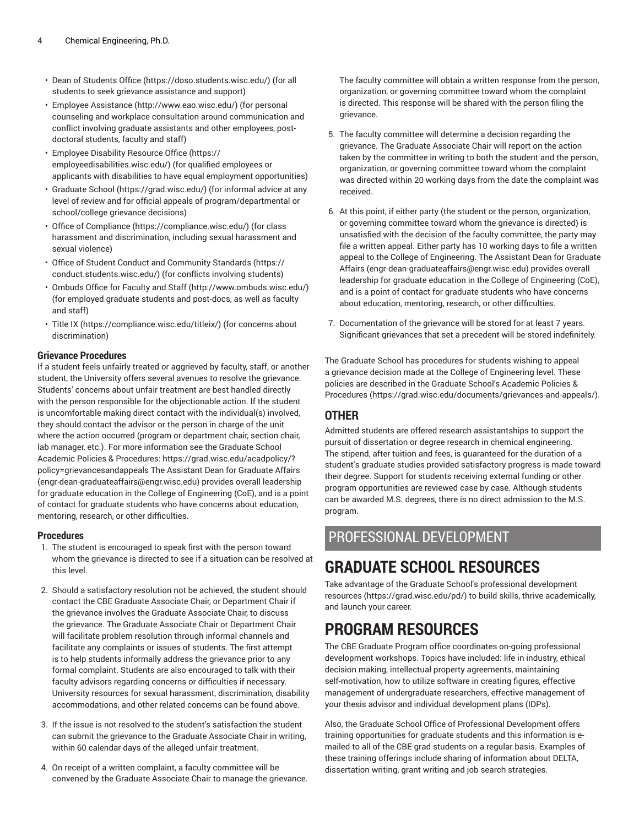- [Dean of Students Office](https://doso.students.wisc.edu/) (<https://doso.students.wisc.edu/>) (for all students to seek grievance assistance and support)
- Employee [Assistance](http://www.eao.wisc.edu/) (<http://www.eao.wisc.edu/>) (for personal counseling and workplace consultation around communication and conflict involving graduate assistants and other employees, postdoctoral students, faculty and staff)
- [Employee](https://employeedisabilities.wisc.edu/) Disability Resource Office ([https://](https://employeedisabilities.wisc.edu/) [employeedisabilities.wisc.edu/\)](https://employeedisabilities.wisc.edu/) (for qualified employees or applicants with disabilities to have equal employment opportunities)
- [Graduate School](https://grad.wisc.edu/) ([https://grad.wisc.edu/\)](https://grad.wisc.edu/) (for informal advice at any level of review and for official appeals of program/departmental or school/college grievance decisions)
- [Office of Compliance](https://compliance.wisc.edu/) (<https://compliance.wisc.edu/>) (for class harassment and discrimination, including sexual harassment and sexual violence)
- Office of Student Conduct and [Community](https://conduct.students.wisc.edu/) Standards ([https://](https://conduct.students.wisc.edu/) [conduct.students.wisc.edu/\)](https://conduct.students.wisc.edu/) (for conflicts involving students)
- [Ombuds](http://www.ombuds.wisc.edu/) Office for Faculty and Staff (<http://www.ombuds.wisc.edu/>) (for employed graduate students and post-docs, as well as faculty and staff)
- [Title](https://compliance.wisc.edu/titleix/) IX (<https://compliance.wisc.edu/titleix/>) (for concerns about discrimination)

#### **Grievance Procedures**

If a student feels unfairly treated or aggrieved by faculty, staff, or another student, the University offers several avenues to resolve the grievance. Students' concerns about unfair treatment are best handled directly with the person responsible for the objectionable action. If the student is uncomfortable making direct contact with the individual(s) involved, they should contact the advisor or the person in charge of the unit where the action occurred (program or department chair, section chair, lab manager, etc.). For more information see the Graduate School Academic Policies & Procedures: [https://grad.wisc.edu/acadpolicy/?](https://grad.wisc.edu/acadpolicy/?policy=grievancesandappeals) [policy=grievancesandappeals](https://grad.wisc.edu/acadpolicy/?policy=grievancesandappeals) The Assistant Dean for Graduate Affairs (engr-dean-graduateaffairs@engr.wisc.edu) provides overall leadership for graduate education in the College of Engineering (CoE), and is a point of contact for graduate students who have concerns about education, mentoring, research, or other difficulties.

#### **Procedures**

- 1. The student is encouraged to speak first with the person toward whom the grievance is directed to see if a situation can be resolved at this level.
- 2. Should a satisfactory resolution not be achieved, the student should contact the CBE Graduate Associate Chair, or Department Chair if the grievance involves the Graduate Associate Chair, to discuss the grievance. The Graduate Associate Chair or Department Chair will facilitate problem resolution through informal channels and facilitate any complaints or issues of students. The first attempt is to help students informally address the grievance prior to any formal complaint. Students are also encouraged to talk with their faculty advisors regarding concerns or difficulties if necessary. University resources for sexual harassment, discrimination, disability accommodations, and other related concerns can be found above.
- 3. If the issue is not resolved to the student's satisfaction the student can submit the grievance to the Graduate Associate Chair in writing, within 60 calendar days of the alleged unfair treatment.
- 4. On receipt of a written complaint, a faculty committee will be convened by the Graduate Associate Chair to manage the grievance.

The faculty committee will obtain a written response from the person, organization, or governing committee toward whom the complaint is directed. This response will be shared with the person filing the grievance.

- 5. The faculty committee will determine a decision regarding the grievance. The Graduate Associate Chair will report on the action taken by the committee in writing to both the student and the person, organization, or governing committee toward whom the complaint was directed within 20 working days from the date the complaint was received.
- 6. At this point, if either party (the student or the person, organization, or governing committee toward whom the grievance is directed) is unsatisfied with the decision of the faculty committee, the party may file a written appeal. Either party has 10 working days to file a written appeal to the College of Engineering. The Assistant Dean for Graduate Affairs [\(engr-dean-graduateaffairs@engr.wisc.edu](mailto:engr-dean-graduateaffairs@engr.wisc.edu)) provides overall leadership for graduate education in the College of Engineering (CoE), and is a point of contact for graduate students who have concerns about education, mentoring, research, or other difficulties.
- 7. Documentation of the grievance will be stored for at least 7 years. Significant grievances that set a precedent will be stored indefinitely.

The Graduate School has procedures for students wishing to appeal a grievance decision made at the College of Engineering level. These policies are described in the Graduate School's [Academic](https://grad.wisc.edu/documents/grievances-and-appeals/) Policies & [Procedures](https://grad.wisc.edu/documents/grievances-and-appeals/) (<https://grad.wisc.edu/documents/grievances-and-appeals/>).

#### **OTHER**

Admitted students are offered research assistantships to support the pursuit of dissertation or degree research in chemical engineering. The stipend, after tuition and fees, is guaranteed for the duration of a student's graduate studies provided satisfactory progress is made toward their degree. Support for students receiving external funding or other program opportunities are reviewed case by case. Although students can be awarded M.S. degrees, there is no direct admission to the M.S. program.

# PROFESSIONAL DEVELOPMENT

# **GRADUATE SCHOOL RESOURCES**

Take advantage of the Graduate School's professional [development](https://grad.wisc.edu/pd/) [resources \(https://grad.wisc.edu/pd/\)](https://grad.wisc.edu/pd/) to build skills, thrive academically, and launch your career.

# **PROGRAM RESOURCES**

The CBE Graduate Program office coordinates on-going professional development workshops. Topics have included: life in industry, ethical decision making, intellectual property agreements, maintaining self-motivation, how to utilize software in creating figures, effective management of undergraduate researchers, effective management of your thesis advisor and individual development plans (IDPs).

Also, the Graduate School Office of Professional Development offers training opportunities for graduate students and this information is emailed to all of the CBE grad students on a regular basis. Examples of these training offerings include sharing of information about DELTA, dissertation writing, grant writing and job search strategies.